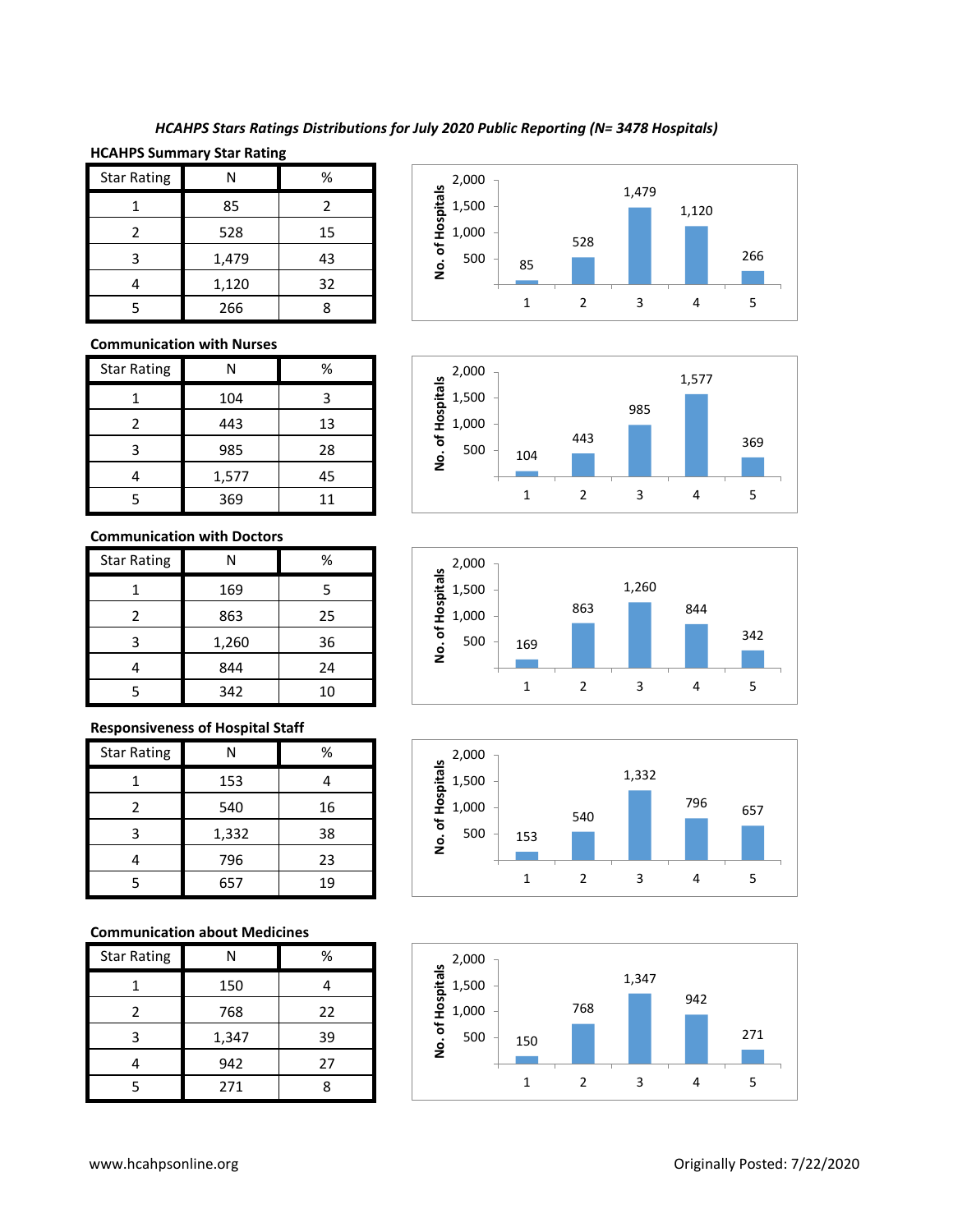## *HCAHPS Stars Ratings Distributions for July 2020 Public Reporting (N= 3478 Hospitals)*

## **HCAHPS Summary Star Rating**

| <b>Star Rating</b> | Ν     | %  |
|--------------------|-------|----|
|                    | 85    | 2  |
|                    | 528   | 15 |
| 3                  | 1,479 | 43 |
|                    | 1,120 | 32 |
|                    | 266   |    |

#### **Communication with Nurses**

| <b>Star Rating</b> | Ν     | %  |
|--------------------|-------|----|
|                    | 104   |    |
|                    | 443   | 13 |
| 3                  | 985   | 28 |
|                    | 1,577 | 45 |
|                    | 369   | 11 |

#### **Communication with Doctors**

| <b>Star Rating</b> | Ν     | %  |
|--------------------|-------|----|
|                    | 169   | 5  |
| $\mathcal{P}$      | 863   | 25 |
| 3                  | 1,260 | 36 |
|                    | 844   | 24 |
| 5                  | 342   | 10 |

#### **Responsiveness of Hospital Staff**

| <b>Star Rating</b> | Ν     | %  |
|--------------------|-------|----|
|                    | 153   |    |
| $\mathfrak z$      | 540   | 16 |
| 3                  | 1,332 | 38 |
|                    | 796   | 23 |
| 5                  | 657   | 19 |

#### **Communication about Medicines**

| <b>Star Rating</b> |       | %  |
|--------------------|-------|----|
|                    | 150   |    |
| 2                  | 768   | 22 |
| 3                  | 1,347 | 39 |
|                    | 942   | 27 |
|                    | 271   |    |









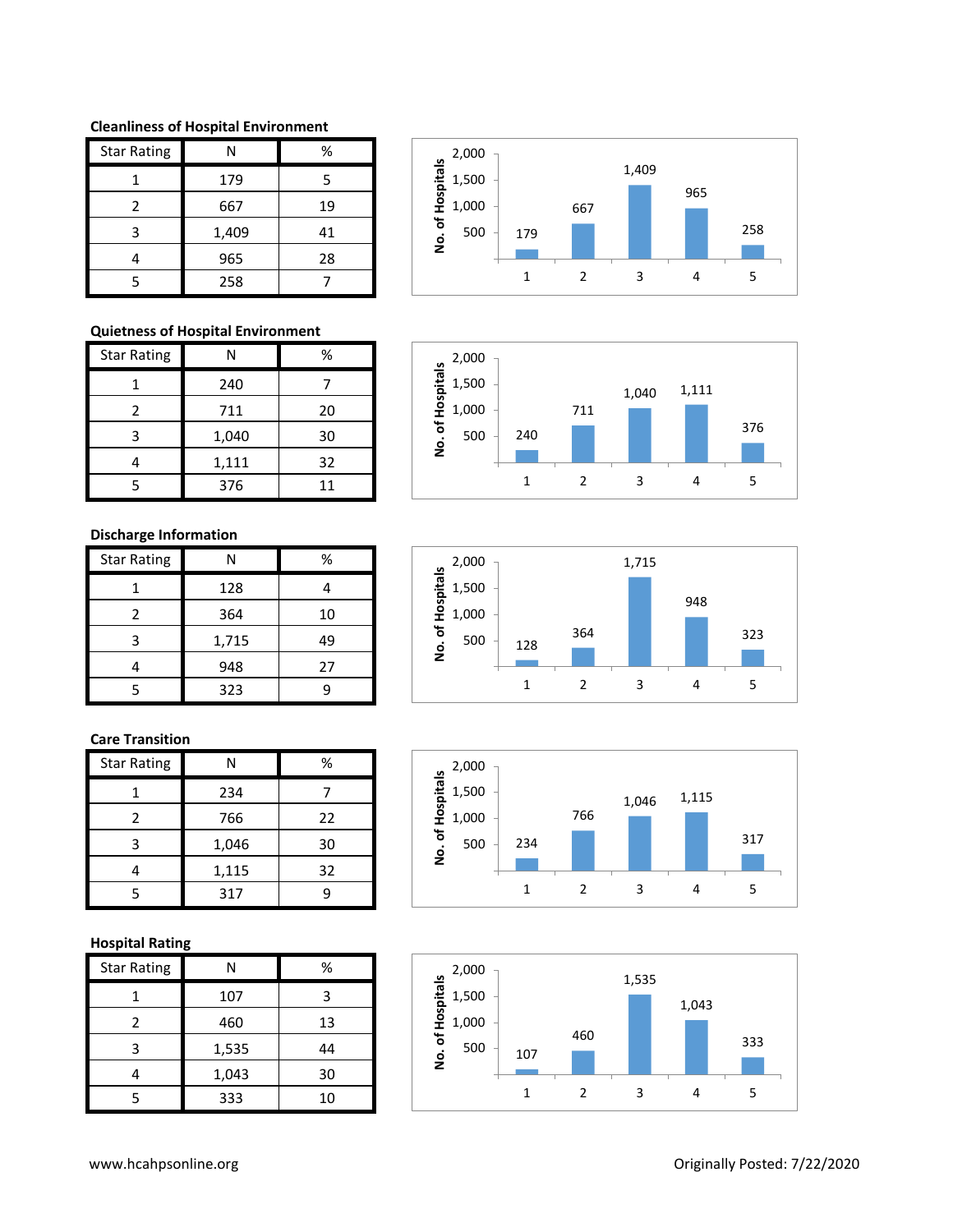**Cleanliness of Hospital Environment**

| <b>Star Rating</b> | Ν     | %  |
|--------------------|-------|----|
|                    | 179   | 5  |
| 2                  | 667   | 19 |
| ς                  | 1,409 | 41 |
|                    | 965   | 28 |
|                    | 258   |    |

## **Quietness of Hospital Environment**

| <b>Star Rating</b> | Ν     | %  |
|--------------------|-------|----|
|                    | 240   |    |
| $\mathcal{P}$      | 711   | 20 |
| 3                  | 1,040 | 30 |
|                    | 1,111 | 32 |
|                    | 376   | 11 |

## **Discharge Information**

| <b>Star Rating</b> | N     | %  |
|--------------------|-------|----|
|                    | 128   |    |
| 2                  | 364   | 10 |
| 3                  | 1,715 | 49 |
|                    | 948   | 27 |
| 5                  | 323   | c  |

## **Care Transition**

| <b>Star Rating</b> |       | %  |
|--------------------|-------|----|
|                    | 234   |    |
| 2                  | 766   | 22 |
| 3                  | 1,046 | 30 |
|                    | 1,115 | 32 |
| 5                  | 317   | q  |

# **Hospital Rating**

| <b>Star Rating</b> | Ν     | %  |
|--------------------|-------|----|
|                    | 107   | 3  |
| $\mathcal{P}$      | 460   | 13 |
| 3                  | 1,535 | 44 |
|                    | 1,043 | 30 |
|                    | 333   | 10 |